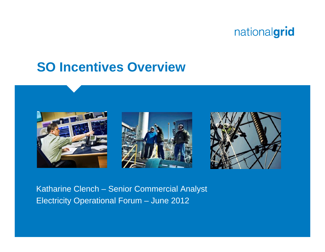

## **SO Incentives Overview**



Katharine Clench – Senior Commercial Analyst Electricity Operational Forum – June 2012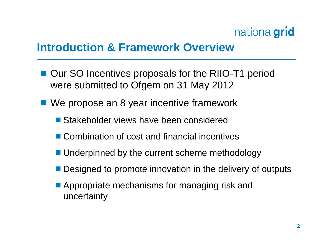

#### **Introduction & Framework Overview**

- Our SO Incentives proposals for the RIIO-T1 period were submitted to Ofgem on 31 May 2012
- We propose an 8 year incentive framework
	- Stakeholder views have been considered
	- Combination of cost and financial incentives
	- Underpinned by the current scheme methodology
	- Designed to promote innovation in the delivery of outputs
	- **Appropriate mechanisms for managing risk and** uncertainty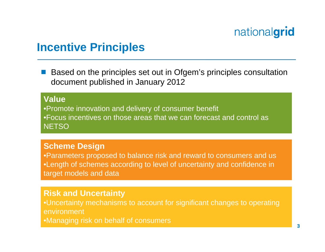#### **Incentive Principles**

 Based on the principles set out in Ofgem's principles consultation document published in January 2012

#### **Value**

•Promote innovation and delivery of consumer benefit •Focus incentives on those areas that we can forecast and control as **NETSO** 

#### **Scheme Design**

•Parameters proposed to balance risk and reward to consumers and us •Length of schemes according to level of uncertainty and confidence in target models and data

#### **Risk and Uncertainty**

•Uncertainty mechanisms to account for significant changes to operating environment•Managing risk on behalf of consumers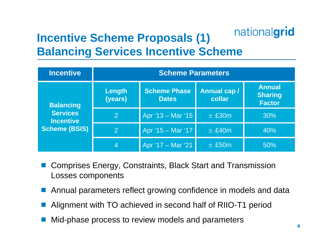#### nationalgrid **Incentive Scheme Proposals (1) Balancing Services Incentive Scheme**

| <b>Incentive</b>                                                         | <b>Scheme Parameters</b> |                              |                              |                                                  |
|--------------------------------------------------------------------------|--------------------------|------------------------------|------------------------------|--------------------------------------------------|
| <b>Balancing</b><br><b>Services</b><br><b>Incentive</b><br>Scheme (BSIS) | Length<br>(years)        | Scheme Phase<br><b>Dates</b> | <b>Annual cap/</b><br>collar | <b>Annual</b><br><b>Sharing</b><br><b>Factor</b> |
|                                                                          | 2                        | Apr $'13 -$ Mar $'15$        | $\pm$ £30m                   | 30%                                              |
|                                                                          | 2                        | Apr '15 - Mar '17            | $±$ £40m                     | 40%                                              |
|                                                                          | 4                        | Apr '17 - Mar '21            | $±$ £50m                     | 50%                                              |

- Comprises Energy, Constraints, Black Start and Transmission Losses components
- Annual parameters reflect growing confidence in models and data
- Alignment with TO achieved in second half of RIIO-T1 period
- **Contract Contract Contract Contract Contract Contract Contract Contract Contract Contract Contract Contract Co** Mid-phase process to review models and parameters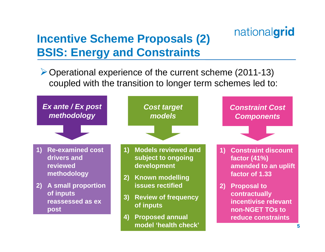# **Incentive Scheme Proposals (2) BSIS: Energy and Constraints**

¾Operational experience of the current scheme (2011-13) coupled with the transition to longer term schemes led to:

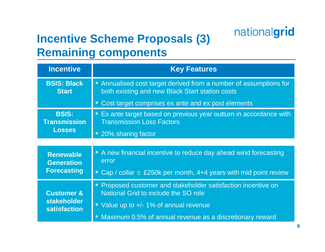# **Incentive Scheme Proposals (3) Remaining components**

| <b>Incentive</b>                                                   | <b>Key Features</b>                                                                                                  |  |  |  |
|--------------------------------------------------------------------|----------------------------------------------------------------------------------------------------------------------|--|--|--|
| <b>BSIS: Black</b><br><b>Start</b>                                 | • Annualised cost target derived from a number of assumptions for<br>both existing and new Black Start station costs |  |  |  |
|                                                                    | • Cost target comprises ex ante and ex post elements                                                                 |  |  |  |
| <b>BSIS:</b><br><b>Transmission</b>                                | • Ex ante target based on previous year outturn in accordance with<br><b>Transmission Loss Factors</b>               |  |  |  |
| <b>Losses</b>                                                      | • 20% sharing factor                                                                                                 |  |  |  |
|                                                                    |                                                                                                                      |  |  |  |
| <b>Renewable</b><br><b>Generation</b><br><b>Forecasting</b>        | • A new financial incentive to reduce day ahead wind forecasting<br>error                                            |  |  |  |
|                                                                    | • Cap / collar $\pm$ £250k per month, 4+4 years with mid point review                                                |  |  |  |
| <b>Customer &amp;</b><br><b>stakeholder</b><br><b>satisfaction</b> | • Proposed customer and stakeholder satisfaction incentive on<br>National Grid to include the SO role                |  |  |  |
|                                                                    | • Value up to +/- 1% of annual revenue                                                                               |  |  |  |
|                                                                    | • Maximum 0.5% of annual revenue as a discretionary reward                                                           |  |  |  |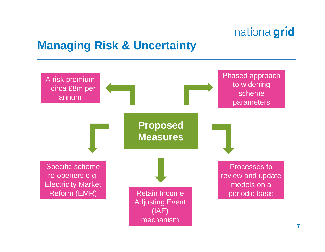#### **Managing Risk & Uncertainty**

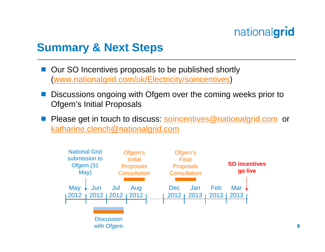#### **Summary & Next Steps**

- Our SO Incentives proposals to be published shortly ([www.nationalgrid.com/uk/Electricity/soincentives](http://www.nationalgrid.com/uk/Electricity/soincentives/) )
- ■ Discussions ongoing with Ofgem over the coming weeks prior to Ofgem's Initial Proposals
- Please get in touch to discuss: [soincentives@nationalgrid.com](mailto:soincentives@nationalgrid.com) or [katharine.clench@nationalgrid.com](mailto:katharine.clench@nationalgrid.com)